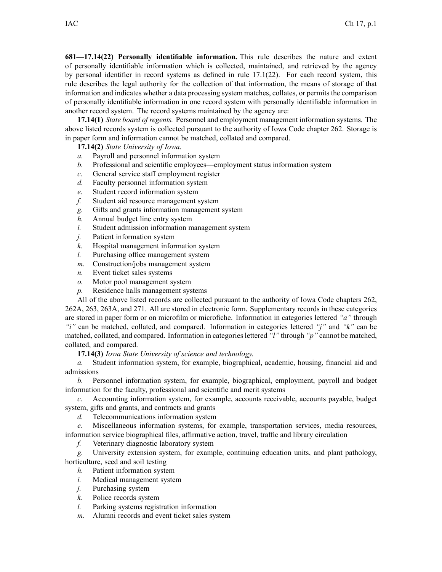**681—17.14(22) Personally identifiable information.** This rule describes the nature and extent of personally identifiable information which is collected, maintained, and retrieved by the agency by personal identifier in record systems as defined in rule 17.1(22). For each record system, this rule describes the legal authority for the collection of that information, the means of storage of that information and indicates whether <sup>a</sup> data processing system matches, collates, or permits the comparison of personally identifiable information in one record system with personally identifiable information in another record system. The record systems maintained by the agency are:

**17.14(1)** *State board of regents.* Personnel and employment managemen<sup>t</sup> information systems. The above listed records system is collected pursuan<sup>t</sup> to the authority of Iowa Code chapter 262. Storage is in paper form and information cannot be matched, collated and compared.

**17.14(2)** *State University of Iowa.*

- *a.* Payroll and personnel information system
- *b.* Professional and scientific employees—employment status information system
- *c.* General service staff employment register
- *d.* Faculty personnel information system
- *e.* Student record information system
- *f.* Student aid resource managemen<sup>t</sup> system
- *g.* Gifts and grants information managemen<sup>t</sup> system
- *h.* Annual budget line entry system
- *i.* Student admission information managemen<sup>t</sup> system
- *j.* Patient information system
- *k.* Hospital managemen<sup>t</sup> information system
- *l.* Purchasing office managemen<sup>t</sup> system
- *m.* Construction/jobs managemen<sup>t</sup> system
- *n.* Event ticket sales systems
- *o.* Motor pool managemen<sup>t</sup> system
- *p.* Residence halls managemen<sup>t</sup> systems

All of the above listed records are collected pursuan<sup>t</sup> to the authority of Iowa Code chapters 262, 262A, 263, 263A, and 271. All are stored in electronic form. Supplementary records in these categories are stored in paper form or on microfilm or microfiche. Information in categories lettered *"a"* through *"i"* can be matched, collated, and compared. Information in categories lettered *"j"* and *"k"* can be matched, collated, and compared. Information in categorieslettered *"l"* through *"p"* cannot be matched, collated, and compared.

**17.14(3)** *Iowa State University of science and technology.*

*a.* Student information system, for example, biographical, academic, housing, financial aid and admissions

*b.* Personnel information system, for example, biographical, employment, payroll and budget information for the faculty, professional and scientific and merit systems

*c.* Accounting information system, for example, accounts receivable, accounts payable, budget system, gifts and grants, and contracts and grants

*d.* Telecommunications information system

*e.* Miscellaneous information systems, for example, transportation services, media resources,

information service biographical files, affirmative action, travel, traffic and library circulation

*f.* Veterinary diagnostic laboratory system

*g.* University extension system, for example, continuing education units, and plant pathology, horticulture, seed and soil testing

- *h.* Patient information system
- *i.* Medical managemen<sup>t</sup> system
- *j.* Purchasing system
- *k.* Police records system
- *l.* Parking systems registration information
- *m.* Alumni records and event ticket sales system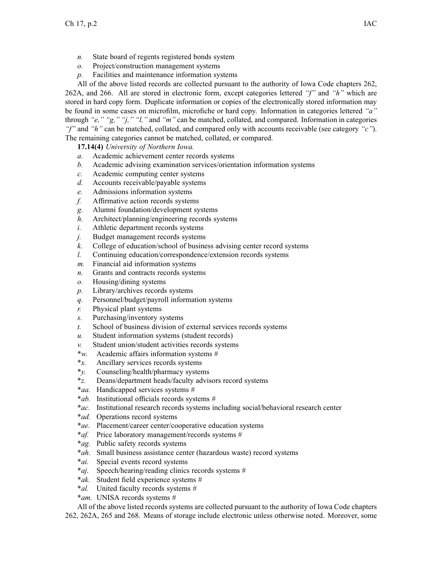- *n.* State board of regents registered bonds system
- *o.* Project/construction managemen<sup>t</sup> systems
- *p.* Facilities and maintenance information systems

All of the above listed records are collected pursuan<sup>t</sup> to the authority of Iowa Code chapters 262, 262A, and 266. All are stored in electronic form, excep<sup>t</sup> categories lettered *"f"* and *"h"* which are stored in hard copy form. Duplicate information or copies of the electronically stored information may be found in some cases on microfilm, microfiche or hard copy. Information in categories lettered *"a"* through *"e," "g," "j," "l,"* and *"m"* can be matched, collated, and compared. Information in categories *"f"* and *"h"* can be matched, collated, and compared only with accounts receivable (see category *"c"*). The remaining categories cannot be matched, collated, or compared.

**17.14(4)** *University of Northern Iowa.*

- *a.* Academic achievement center records systems
- *b.* Academic advising examination services/orientation information systems
- *c.* Academic computing center systems
- *d.* Accounts receivable/payable systems
- *e.* Admissions information systems
- *f.* Affirmative action records systems
- *g.* Alumni foundation/development systems
- *h.* Architect/planning/engineering records systems
- *i.* Athletic department records systems
- *j.* Budget managemen<sup>t</sup> records systems
- *k.* College of education/school of business advising center record systems
- *l.* Continuing education/correspondence/extension records systems
- *m.* Financial aid information systems
- *n.* Grants and contracts records systems
- *o.* Housing/dining systems
- *p.* Library/archives records systems
- *q.* Personnel/budget/payroll information systems
- *r.* Physical plant systems
- *s.* Purchasing/inventory systems
- *t.* School of business division of external services records systems
- *u.* Student information systems (student records)
- *v.* Student union/student activities records systems
- \**w.* Academic affairs information systems #
- \**x.* Ancillary services records systems
- \**y.* Counseling/health/pharmacy systems
- \**z.* Deans/department heads/faculty advisors record systems
- \**aa.* Handicapped services systems #
- \**ab.* Institutional officials records systems #
- \**ac.* Institutional research records systems including social/behavioral research center
- \**ad.* Operations record systems
- \**ae.* Placement/career center/cooperative education systems
- \**af.* Price laboratory management/records systems #
- \**ag.* Public safety records systems
- \**ah.* Small business assistance center (hazardous waste) record systems
- \**ai.* Special events record systems
- \**aj.* Speech/hearing/reading clinics records systems #
- \**ak.* Student field experience systems #
- \**al.* United faculty records systems #
- \**am.* UNISA records systems #

All of the above listed records systems are collected pursuan<sup>t</sup> to the authority of Iowa Code chapters

262, 262A, 265 and 268. Means of storage include electronic unless otherwise noted. Moreover, some